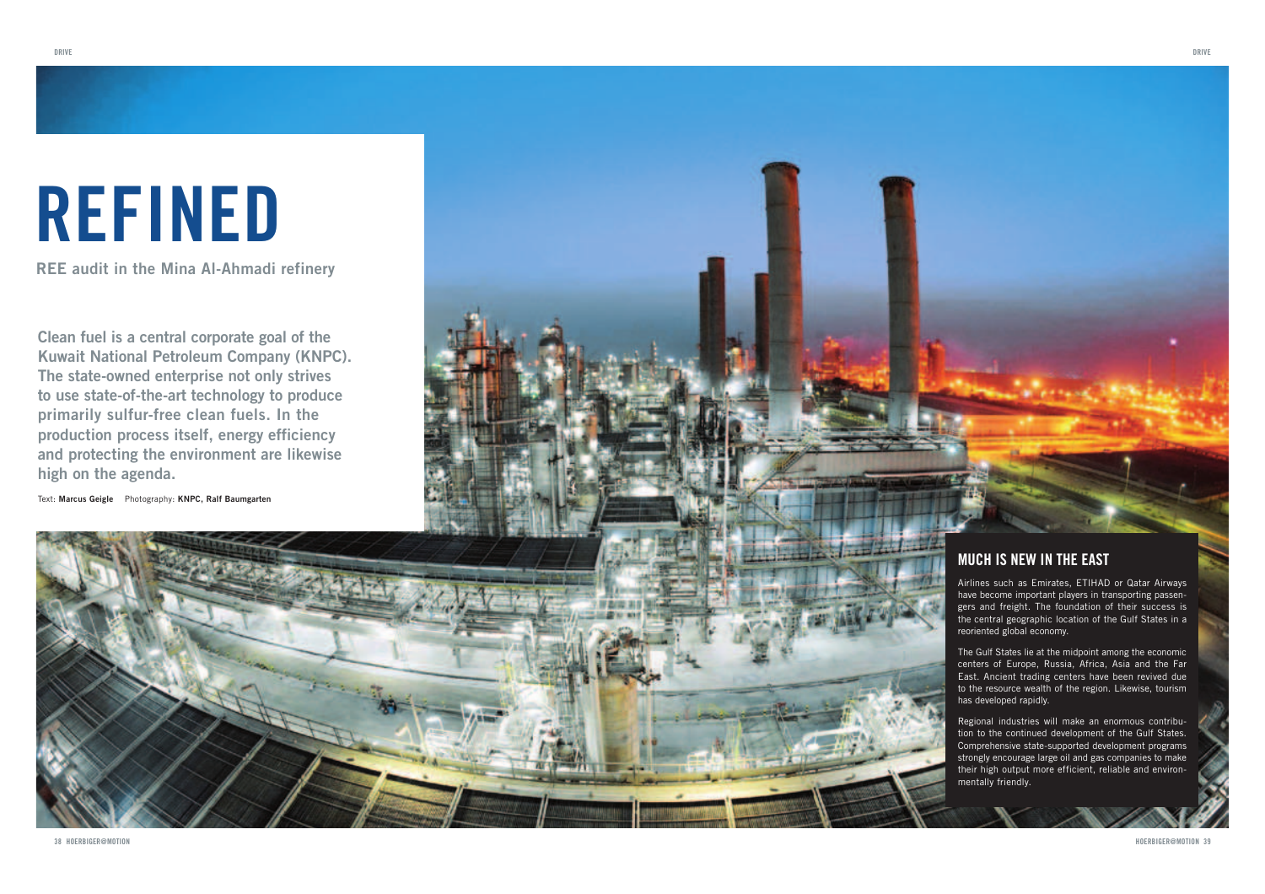# REFINED

**REE audit in the Mina Al-Ahmadi refinery**

**Clean fuel is a central corporate goal of the Kuwait National Petroleum Company (KNPC). The state-owned enterprise not only strives to use state-of-the-art technology to produce primarily sulfur-free clean fuels. In the production process itself, energy efficiency and protecting the environment are likewise high on the agenda.** 

Text: **Marcus Geigle** Photography: **KNPC, Ralf Baumgarten**



### MUCH IS NEW IN THE EAST

Airlines such as Emirates, ETIHAD or Qatar Airways have become important players in transporting passengers and freight. The foundation of their success is the central geographic location of the Gulf States in a reoriented global economy.

The Gulf States lie at the midpoint among the economic centers of Europe, Russia, Africa, Asia and the Far East. Ancient trading centers have been revived due to the resource wealth of the region. Likewise, tourism has developed rapidly.

Regional industries will make an enormous contribution to the continued development of the Gulf States. Comprehensive state-supported development programs strongly encourage large oil and gas companies to make their high output more efficient, reliable and environmentally friendly.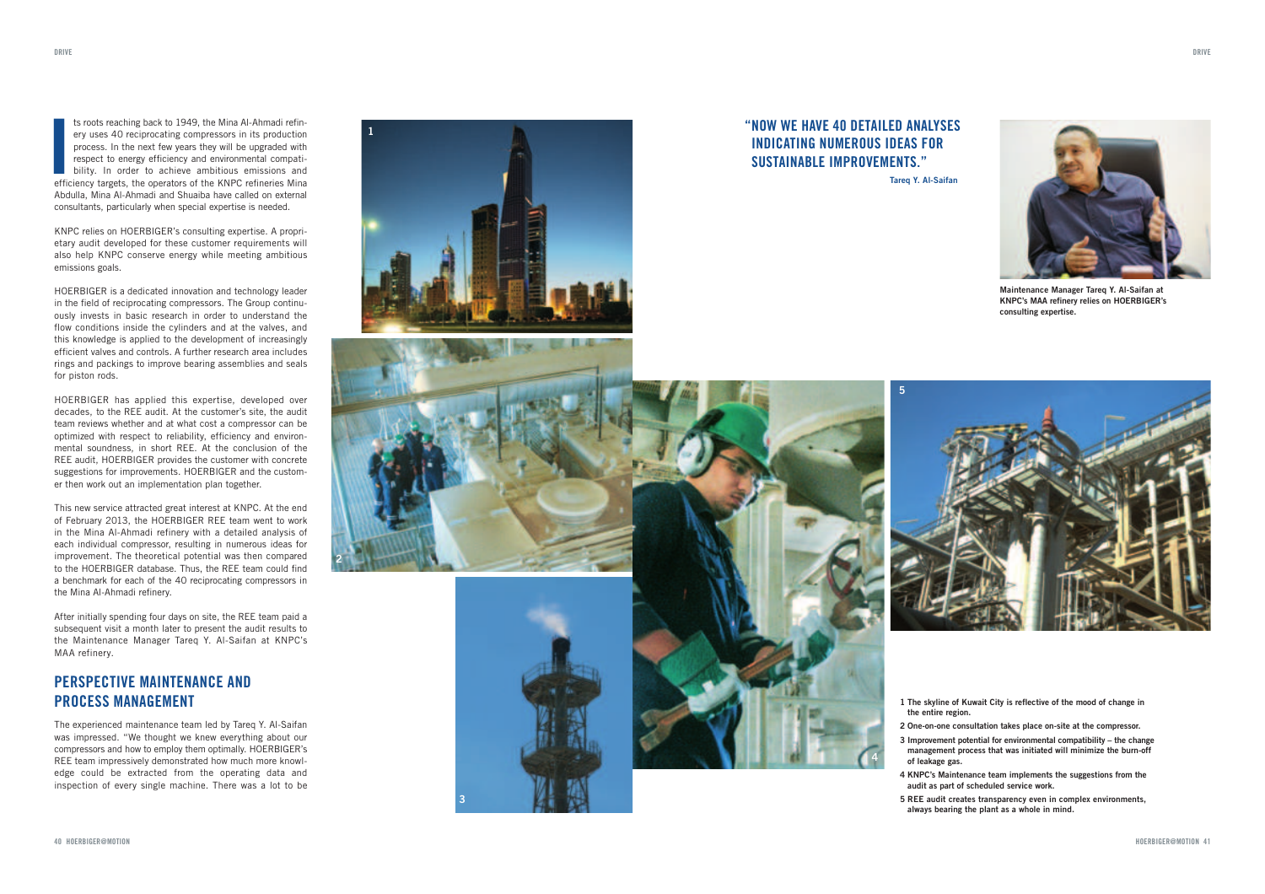ts roots reaching back to 1949, the Mina Al-Ahmadi refin-<br>ery uses 40 reciprocating compressors in its production<br>process. In the next few years they will be upgraded with<br>respect to energy efficiency and environmental com efficiency targets, the operators of the KNPC refineries Mina Abdulla, Mina Al-Ahmadi and Shuaiba have called on external consultants, particularly when special expertise is needed.

**1**

**2**

**3**

KNPC relies on HOERBIGER's consulting expertise. A proprietary audit developed for these customer requirements will also help KNPC conserve energy while meeting ambitious emissions goals.

HOERBIGER is a dedicated innovation and technology leader in the field of reciprocating compressors. The Group continuously invests in basic research in order to understand the flow conditions inside the cylinders and at the valves, and this knowledge is applied to the development of increasingly efficient valves and controls. A further research area includes rings and packings to improve bearing assemblies and seals for piston rods.

HOERBIGER has applied this expertise, developed over decades, to the REE audit. At the customer's site, the audit team reviews whether and at what cost a compressor can be optimized with respect to reliability, efficiency and environmental soundness, in short REE. At the conclusion of the REE audit, HOERBIGER provides the customer with concrete suggestions for improvements. HOERBIGER and the customer then work out an implementation plan together.

This new service attracted great interest at KNPC. At the end of February 2013, the HOERBIGER REE team went to work in the Mina Al-Ahmadi refinery with a detailed analysis of each individual compressor, resulting in numerous ideas for improvement. The theoretical potential was then compared to the HOERBIGER database. Thus, the REE team could find a benchmark for each of the 40 reciprocating compressors in the Mina Al-Ahmadi refinery.

After initially spending four days on site, the REE team paid a subsequent visit a month later to present the audit results to the Maintenance Manager Tareq Y. Al-Saifan at KNPC's MAA refinery.

#### PERSPECTIVE MAINTENANCE AND PROCESS MANAGEMENT

The experienced maintenance team led by Tareq Y. Al-Saifan was impressed. "We thought we knew everything about our compressors and how to employ them optimally. HOERBIGER's REE team impressively demonstrated how much more knowledge could be extracted from the operating data and inspection of every single machine. There was a lot to be





#### " NOW WE HAVE 40 DETAILED ANALYSES INDICATING NUMEROUS IDEAS FOR SUSTAINARLE IMPROVEMENTS "

**4**

**Tareq Y. Al-Saifan**

**5**



**Maintenance Manager Tareq Y. Al-Saifan at KNPC's MAA refinery relies on HOERBIGER's consulting expertise.**



- **1 The skyline of Kuwait City is reflective of the mood of change in the entire region.**
- **2 One-on-one consultation takes place on-site at the compressor.**
- **3 Improvement potential for environmental compatibility the change management process that was initiated will minimize the burn-off of leakage gas.**
- **4 KNPC's Maintenance team implements the suggestions from the audit as part of scheduled service work.**
- **5 REE audit creates transparency even in complex environments, always bearing the plant as a whole in mind.**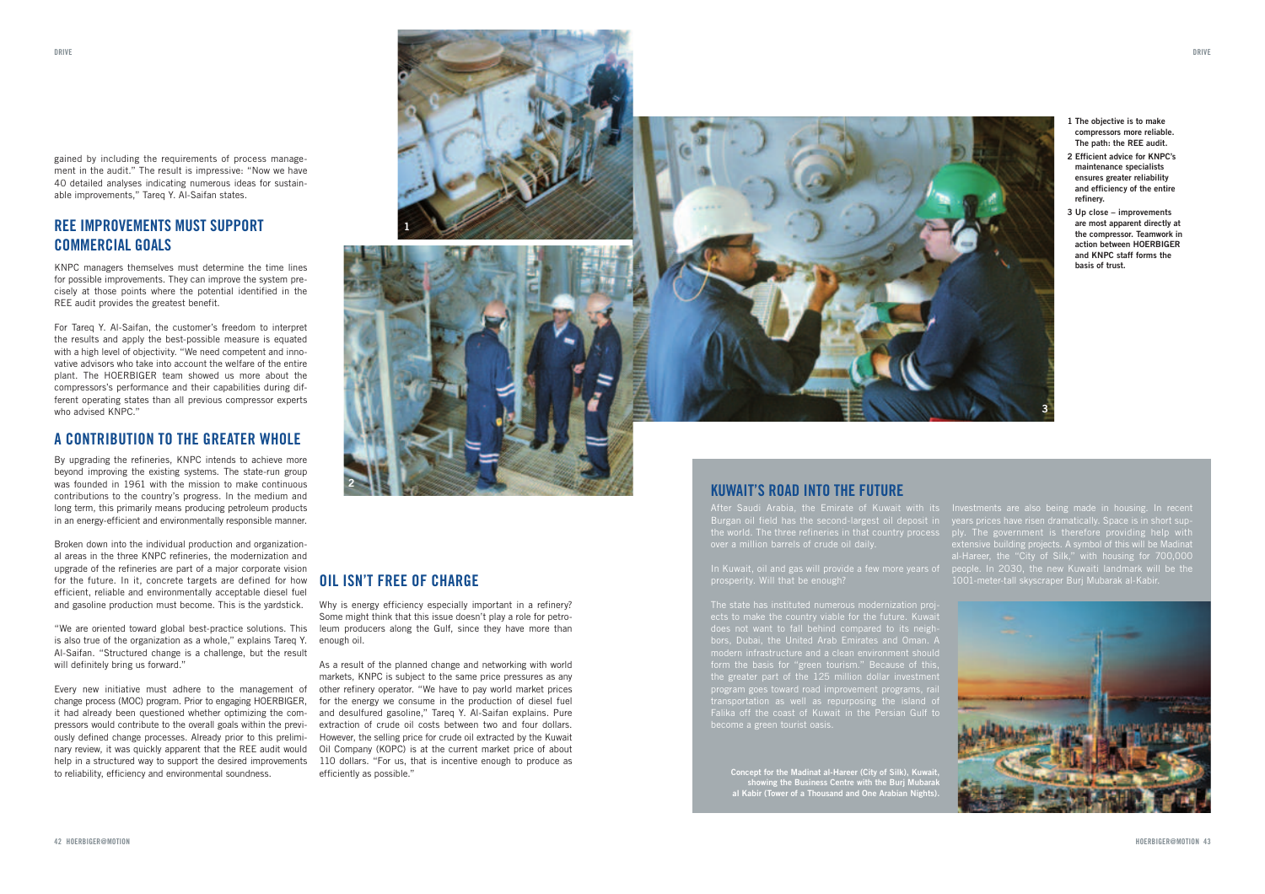gained by including the requirements of process management in the audit." The result is impressive: "Now we have 40 detailed analyses indicating numerous ideas for sustainable improvements," Tareq Y. Al-Saifan states.

#### REE IMPROVEMENTS MUST SUPPORT COMMERCIAL GOALS

KNPC managers themselves must determine the time lines for possible improvements. They can improve the system precisely at those points where the potential identified in the REE audit provides the greatest benefit.

For Tareq Y. Al-Saifan, the customer's freedom to interpret the results and apply the best-possible measure is equated with a high level of objectivity. "We need competent and innovative advisors who take into account the welfare of the entire plant. The HOERBIGER team showed us more about the compressors's performance and their capabilities during different operating states than all previous compressor experts who advised KNPC."

#### A CONTRIBUTION TO THE GREATER WHOLE

 By upgrading the refineries, KNPC intends to achieve more beyond improving the existing systems. The state-run group was founded in 1961 with the mission to make continuous contributions to the country's progress. In the medium and long term, this primarily means producing petroleum products in an energy-efficient and environmentally responsible manner.

Broken down into the individual production and organizational areas in the three KNPC refineries, the modernization and upgrade of the refineries are part of a major corporate vision for the future. In it, concrete targets are defined for how efficient, reliable and environmentally acceptable diesel fuel and gasoline production must become. This is the yardstick.

"We are oriented toward global best-practice solutions. This is also true of the organization as a whole," explains Tareq Y. Al-Saifan. "Structured change is a challenge, but the result will definitely bring us forward."

Every new initiative must adhere to the management of change process (MOC) program. Prior to engaging HOERBIGER, it had already been questioned whether optimizing the compressors would contribute to the overall goals within the previously defined change processes. Already prior to this preliminary review, it was quickly apparent that the REE audit would help in a structured way to support the desired improvements to reliability, efficiency and environmental soundness.



#### OIL ISN'T FREE OF CHARGE

**2**

**1**

Why is energy efficiency especially important in a refinery? Some might think that this issue doesn't play a role for petroleum producers along the Gulf, since they have more than enough oil.

As a result of the planned change and networking with world markets, KNPC is subject to the same price pressures as any other refinery operator. "We have to pay world market prices for the energy we consume in the production of diesel fuel and desulfured gasoline," Tareq Y. Al-Saifan explains. Pure extraction of crude oil costs between two and four dollars. However, the selling price for crude oil extracted by the Kuwait Oil Company (KOPC) is at the current market price of about 110 dollars. "For us, that is incentive enough to produce as efficiently as possible."



- **1 The objective is to make compressors more reliable. The path: the REE audit.**
- **2 Efficient advice for KNPC's maintenance specialists ensures greater reliability and efficiency of the entire refinery.**
- **3 Up close improvements are most apparent directly at the compressor. Teamwork in action between HOERBIGER and KNPC staff forms the basis of trust.**

#### KUWAIT'S ROAD INTO THE FUTURE

After Saudi Arabia, the Emirate of Kuwait with its Burgan oil field has the second-largest oil deposit in the world. The three refineries in that country process over a million barrels of crude oil daily.

ects to make the country viable for the future. Kuwait<br>does not want to fall behind compared to its neigh-<br>bors, Dubai, the United Arab Emirates and Oman. A<br>modern infrastructure and a clean environment should<br>form the bas Falika off the coast of Kuwait in the Persian Gulf to

**Concept for the Madinat al-Hareer (City of Silk), Kuwait, showing the Business Centre with the Burj Mubarak al Kabir (Tower of a Thousand and One Arabian Nights).** Investments are also being made in housing. In recent years prices have risen dramatically. Space is in short supply. The government is therefore providing help with<br>extensive building projects. A symbol of this will be Madinat<br>al-Hareer, the "City of Silk," with housing for 700,000<br>people. In 2030, the new Kuwaiti landmark will be t